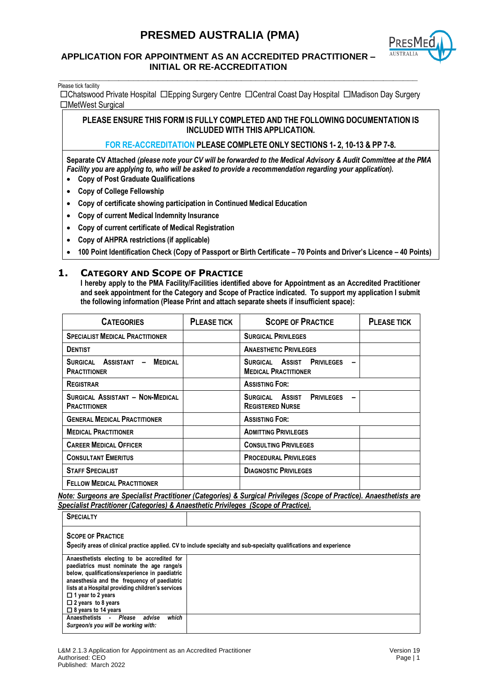

#### **APPLICATION FOR APPOINTMENT AS AN ACCREDITED PRACTITIONER – INITIAL OR RE-ACCREDITATION**

**\_\_\_\_\_\_\_\_\_\_\_\_\_\_\_\_\_\_\_\_\_\_\_\_\_\_\_\_\_\_\_\_\_\_\_\_\_\_\_\_\_\_\_\_\_\_\_\_\_\_\_\_\_\_\_\_\_\_\_\_\_\_\_\_\_\_\_\_\_\_\_\_\_** Please tick facility

Chatswood Private Hospital Epping Surgery Centre Central Coast Day Hospital Madison Day Surgery □MetWest Surgical

**PLEASE ENSURE THIS FORM IS FULLY COMPLETED AND THE FOLLOWING DOCUMENTATION IS INCLUDED WITH THIS APPLICATION.**

#### **FOR RE-ACCREDITATION PLEASE COMPLETE ONLY SECTIONS 1- 2, 10-13 & PP 7-8.**

**Separate CV Attached** *(please note your CV will be forwarded to the Medical Advisory & Audit Committee at the PMA Facility you are applying to, who will be asked to provide a recommendation regarding your application).*

- **Copy of Post Graduate Qualifications**
- **Copy of College Fellowship**
- **Copy of certificate showing participation in Continued Medical Education**
- **Copy of current Medical Indemnity Insurance**
- **Copy of current certificate of Medical Registration**
- **Copy of AHPRA restrictions (if applicable)**
- **100 Point Identification Check (Copy of Passport or Birth Certificate – 70 Points and Driver's Licence – 40 Points)**

#### **1. CATEGORY AND SCOPE OF PRACTICE**

**I hereby apply to the PMA Facility/Facilities identified above for Appointment as an Accredited Practitioner and seek appointment for the Category and Scope of Practice indicated. To support my application I submit the following information (Please Print and attach separate sheets if insufficient space):**

| <b>CATEGORIES</b>                                             | <b>PLEASE TICK</b> | <b>SCOPE OF PRACTICE</b>                                        | <b>PLEASE TICK</b> |
|---------------------------------------------------------------|--------------------|-----------------------------------------------------------------|--------------------|
| <b>SPECIALIST MEDICAL PRACTITIONER</b>                        |                    | <b>SURGICAL PRIVILEGES</b>                                      |                    |
| <b>DENTIST</b>                                                |                    | <b>ANAESTHETIC PRIVILEGES</b>                                   |                    |
| <b>MEDICAL</b><br>SURGICAL ASSISTANT -<br><b>PRACTITIONER</b> |                    | SURGICAL ASSIST PRIVILEGES<br><b>MEDICAL PRACTITIONER</b>       |                    |
| <b>REGISTRAR</b>                                              |                    | <b>ASSISTING FOR:</b>                                           |                    |
| SURGICAL ASSISTANT - NON-MEDICAL<br><b>PRACTITIONER</b>       |                    | SURGICAL ASSIST<br><b>PRIVILEGES</b><br><b>REGISTERED NURSE</b> |                    |
| <b>GENERAL MEDICAL PRACTITIONER</b>                           |                    | <b>ASSISTING FOR:</b>                                           |                    |
| <b>MEDICAL PRACTITIONER</b>                                   |                    | <b>ADMITTING PRIVILEGES</b>                                     |                    |
| <b>CAREER MEDICAL OFFICER</b>                                 |                    | <b>CONSULTING PRIVILEGES</b>                                    |                    |
| <b>CONSULTANT EMERITUS</b>                                    |                    | <b>PROCEDURAL PRIVILEGES</b>                                    |                    |
| <b>STAFF SPECIALIST</b>                                       |                    | <b>DIAGNOSTIC PRIVILEGES</b>                                    |                    |
| <b>FELLOW MEDICAL PRACTITIONER</b>                            |                    |                                                                 |                    |

*Note: Surgeons are Specialist Practitioner (Categories) & Surgical Privileges (Scope of Practice). Anaesthetists are Specialist Practitioner (Categories) & Anaesthetic Privileges (Scope of Practice).* 

| <b>SPECIALTY</b>                                                                                                                                                                                                                                                                                                                      |                                                                                                                     |
|---------------------------------------------------------------------------------------------------------------------------------------------------------------------------------------------------------------------------------------------------------------------------------------------------------------------------------------|---------------------------------------------------------------------------------------------------------------------|
| <b>SCOPE OF PRACTICE</b>                                                                                                                                                                                                                                                                                                              | Specify areas of clinical practice applied. CV to include specialty and sub-specialty qualifications and experience |
| Anaesthetists electing to be accredited for<br>paediatrics must nominate the age range/s<br>below, qualifications/experience in paediatric<br>anaesthesia and the frequency of paediatric<br>lists at a Hospital providing children's services<br>$\Box$ 1 year to 2 years<br>$\Box$ 2 years to 8 years<br>$\Box$ 8 years to 14 years |                                                                                                                     |
| which<br>Anaesthetists - Please<br>advise<br>Surgeon/s you will be working with:                                                                                                                                                                                                                                                      |                                                                                                                     |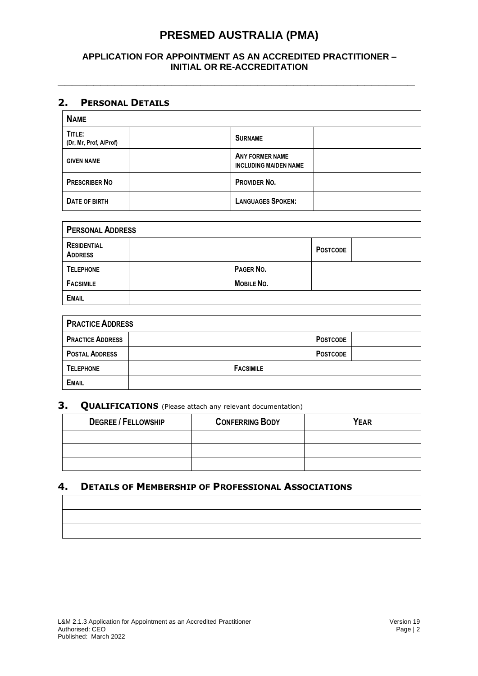### **APPLICATION FOR APPOINTMENT AS AN ACCREDITED PRACTITIONER – INITIAL OR RE-ACCREDITATION**

**\_\_\_\_\_\_\_\_\_\_\_\_\_\_\_\_\_\_\_\_\_\_\_\_\_\_\_\_\_\_\_\_\_\_\_\_\_\_\_\_\_\_\_\_\_\_\_\_\_\_**

### **2. PERSONAL DETAILS**

| <b>NAME</b>                      |                                                        |  |
|----------------------------------|--------------------------------------------------------|--|
| TITLE:<br>(Dr, Mr, Prof, A/Prof) | <b>SURNAME</b>                                         |  |
| <b>GIVEN NAME</b>                | <b>ANY FORMER NAME</b><br><b>INCLUDING MAIDEN NAME</b> |  |
| <b>PRESCRIBER NO</b>             | PROVIDER NO.                                           |  |
| DATE OF BIRTH                    | <b>LANGUAGES SPOKEN:</b>                               |  |

| <b>PERSONAL ADDRESS</b>              |                   |                 |  |
|--------------------------------------|-------------------|-----------------|--|
| <b>RESIDENTIAL</b><br><b>ADDRESS</b> |                   | <b>POSTCODE</b> |  |
| <b>TELEPHONE</b>                     | PAGER NO.         |                 |  |
| <b>FACSIMILE</b>                     | <b>MOBILE NO.</b> |                 |  |
| <b>EMAIL</b>                         |                   |                 |  |

| <b>PRACTICE ADDRESS</b> |  |                  |                 |  |
|-------------------------|--|------------------|-----------------|--|
| <b>PRACTICE ADDRESS</b> |  |                  | <b>POSTCODE</b> |  |
| <b>POSTAL ADDRESS</b>   |  |                  | <b>POSTCODE</b> |  |
| <b>TELEPHONE</b>        |  | <b>FACSIMILE</b> |                 |  |
| <b>EMAIL</b>            |  |                  |                 |  |

# **3. QUALIFICATIONS** (Please attach any relevant documentation)

| <b>DEGREE / FELLOWSHIP</b> | <b>CONFERRING BODY</b> | <b>YEAR</b> |
|----------------------------|------------------------|-------------|
|                            |                        |             |
|                            |                        |             |
|                            |                        |             |

### **4. DETAILS OF MEMBERSHIP OF PROFESSIONAL ASSOCIATIONS**

|                                                                                                                         | <u> La Carlo de la Carlo de la Carlo de la Carlo de la Carlo de la Carlo de la Carlo de la Carlo de la Carlo de l</u> |  |  |
|-------------------------------------------------------------------------------------------------------------------------|-----------------------------------------------------------------------------------------------------------------------|--|--|
| <u> Andreas Andreas Andreas Andreas Andreas Andreas Andreas Andreas Andreas Andreas Andreas Andreas Andreas Andreas</u> |                                                                                                                       |  |  |
|                                                                                                                         |                                                                                                                       |  |  |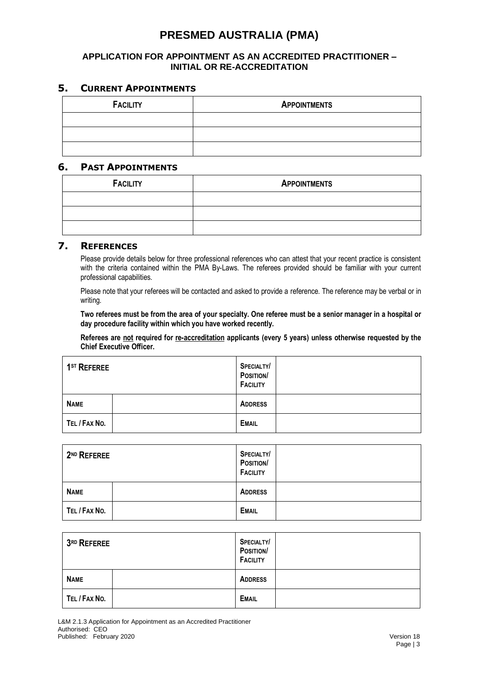#### **APPLICATION FOR APPOINTMENT AS AN ACCREDITED PRACTITIONER – INITIAL OR RE-ACCREDITATION**

### **5. CURRENT APPOINTMENTS**

| <b>FACILITY</b> | <b>APPOINTMENTS</b> |
|-----------------|---------------------|
|                 |                     |
|                 |                     |
|                 |                     |

#### **6. PAST APPOINTMENTS**

| <b>FACILITY</b> | <b>APPOINTMENTS</b> |
|-----------------|---------------------|
|                 |                     |
|                 |                     |
|                 |                     |

## **7. REFERENCES**

Please provide details below for three professional references who can attest that your recent practice is consistent with the criteria contained within the PMA By-Laws. The referees provided should be familiar with your current professional capabilities.

Please note that your referees will be contacted and asked to provide a reference. The reference may be verbal or in writing.

**Two referees must be from the area of your specialty. One referee must be a senior manager in a hospital or day procedure facility within which you have worked recently.** 

**Referees are not required for re-accreditation applicants (every 5 years) unless otherwise requested by the Chief Executive Officer.**

| 1 <sup>ST</sup> REFEREE | <b>SPECIALTY</b><br>POSITION/<br><b>FACILITY</b> |  |
|-------------------------|--------------------------------------------------|--|
| <b>NAME</b>             | <b>ADDRESS</b>                                   |  |
| TEL / FAX NO.           | <b>EMAIL</b>                                     |  |

| 2 <sup>ND</sup> REFEREE | <b>SPECIALTY/</b><br>POSITION/<br><b>FACILITY</b> |
|-------------------------|---------------------------------------------------|
| <b>NAME</b>             | <b>ADDRESS</b>                                    |
| TEL / FAX NO.           | <b>EMAIL</b>                                      |

| $3RD$ REFEREE | <b>SPECIALTY/</b><br>POSITION/<br><b>FACILITY</b> |
|---------------|---------------------------------------------------|
| <b>NAME</b>   | <b>ADDRESS</b>                                    |
| TEL / FAX NO. | <b>EMAIL</b>                                      |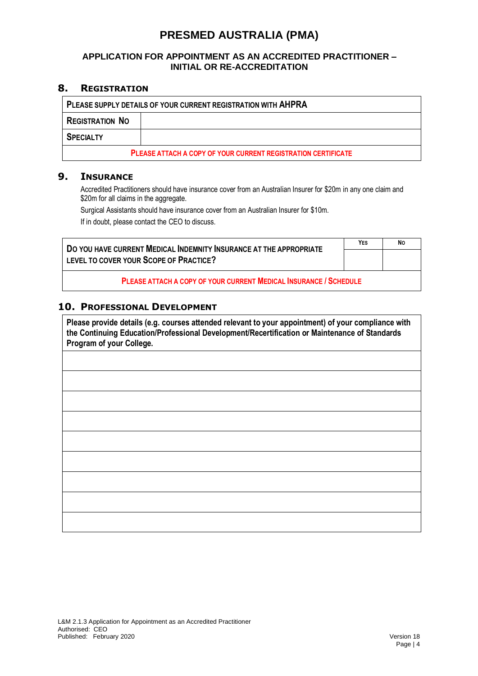### **APPLICATION FOR APPOINTMENT AS AN ACCREDITED PRACTITIONER – INITIAL OR RE-ACCREDITATION**

#### **8. REGISTRATION**

| PLEASE SUPPLY DETAILS OF YOUR CURRENT REGISTRATION WITH AHPRA        |  |  |  |  |
|----------------------------------------------------------------------|--|--|--|--|
| <b>REGISTRATION NO</b>                                               |  |  |  |  |
| <b>SPECIALTY</b>                                                     |  |  |  |  |
| <b>PLEASE ATTACH A COPY OF YOUR CURRENT REGISTRATION CERTIFICATE</b> |  |  |  |  |

#### **9. INSURANCE**

Accredited Practitioners should have insurance cover from an Australian Insurer for \$20m in any one claim and \$20m for all claims in the aggregate.

Surgical Assistants should have insurance cover from an Australian Insurer for \$10m. If in doubt, please contact the CEO to discuss.

**DO YOU HAVE CURRENT MEDICAL INDEMNITY INSURANCE AT THE APPROPRIATE LEVEL TO COVER YOUR SCOPE OF PRACTICE? YES NO**

**PLEASE ATTACH A COPY OF YOUR CURRENT MEDICAL INSURANCE / SCHEDULE**

#### **10. PROFESSIONAL DEVELOPMENT**

**Please provide details (e.g. courses attended relevant to your appointment) of your compliance with the Continuing Education/Professional Development/Recertification or Maintenance of Standards Program of your College.**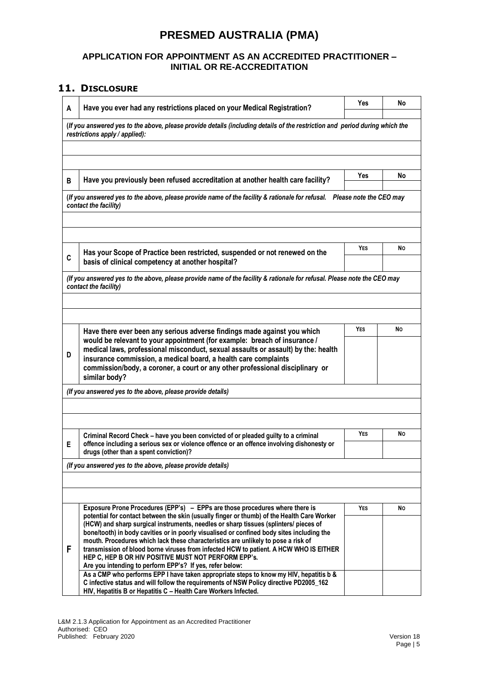#### **APPLICATION FOR APPOINTMENT AS AN ACCREDITED PRACTITIONER – INITIAL OR RE-ACCREDITATION**

## **11. DISCLOSURE**

| A | Have you ever had any restrictions placed on your Medical Registration?                                                                                                                                                                                                                                                                                                                                                                                                                                               | Yes | No |
|---|-----------------------------------------------------------------------------------------------------------------------------------------------------------------------------------------------------------------------------------------------------------------------------------------------------------------------------------------------------------------------------------------------------------------------------------------------------------------------------------------------------------------------|-----|----|
|   | (If you answered yes to the above, please provide details (including details of the restriction and period during which the<br>restrictions apply / applied):                                                                                                                                                                                                                                                                                                                                                         |     |    |
|   |                                                                                                                                                                                                                                                                                                                                                                                                                                                                                                                       |     |    |
|   |                                                                                                                                                                                                                                                                                                                                                                                                                                                                                                                       | Yes | No |
| В | Have you previously been refused accreditation at another health care facility?                                                                                                                                                                                                                                                                                                                                                                                                                                       |     |    |
|   | (If you answered yes to the above, please provide name of the facility & rationale for refusal. Please note the CEO may<br>contact the facility)                                                                                                                                                                                                                                                                                                                                                                      |     |    |
|   |                                                                                                                                                                                                                                                                                                                                                                                                                                                                                                                       | YES | No |
| C | Has your Scope of Practice been restricted, suspended or not renewed on the<br>basis of clinical competency at another hospital?                                                                                                                                                                                                                                                                                                                                                                                      |     |    |
|   | (If you answered yes to the above, please provide name of the facility & rationale for refusal. Please note the CEO may<br>contact the facility)                                                                                                                                                                                                                                                                                                                                                                      |     |    |
|   | Have there ever been any serious adverse findings made against you which                                                                                                                                                                                                                                                                                                                                                                                                                                              | YES | No |
| D | would be relevant to your appointment (for example: breach of insurance /<br>medical laws, professional misconduct, sexual assaults or assault) by the: health<br>insurance commission, a medical board, a health care complaints<br>commission/body, a coroner, a court or any other professional disciplinary or<br>similar body?                                                                                                                                                                                   |     |    |
|   | (If you answered yes to the above, please provide details)                                                                                                                                                                                                                                                                                                                                                                                                                                                            |     |    |
|   | Criminal Record Check - have you been convicted of or pleaded guilty to a criminal                                                                                                                                                                                                                                                                                                                                                                                                                                    | YES | No |
| Е | offence including a serious sex or violence offence or an offence involving dishonesty or<br>drugs (other than a spent conviction)?                                                                                                                                                                                                                                                                                                                                                                                   |     |    |
|   | (If you answered yes to the above, please provide details)                                                                                                                                                                                                                                                                                                                                                                                                                                                            |     |    |
|   | Exposure Prone Procedures (EPP's) - EPPs are those procedures where there is                                                                                                                                                                                                                                                                                                                                                                                                                                          | YES | No |
| F | potential for contact between the skin (usually finger or thumb) of the Health Care Worker<br>(HCW) and sharp surgical instruments, needles or sharp tissues (splinters/ pieces of<br>bone/tooth) in body cavities or in poorly visualised or confined body sites including the<br>mouth. Procedures which lack these characteristics are unlikely to pose a risk of<br>transmission of blood borne viruses from infected HCW to patient. A HCW WHO IS EITHER<br>HEP C, HEP B OR HIV POSITIVE MUST NOT PERFORM EPP's. |     |    |
|   | Are you intending to perform EPP's? If yes, refer below:<br>As a CMP who performs EPP I have taken appropriate steps to know my HIV, hepatitis b &<br>C infective status and will follow the requirements of NSW Policy directive PD2005_162<br>HIV, Hepatitis B or Hepatitis C - Health Care Workers Infected.                                                                                                                                                                                                       |     |    |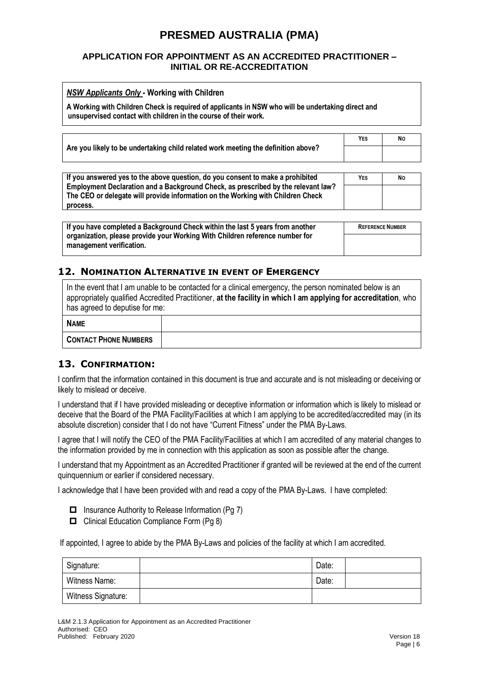#### **APPLICATION FOR APPOINTMENT AS AN ACCREDITED PRACTITIONER – INITIAL OR RE-ACCREDITATION**

| <b>NSW Applicants Only - Working with Children</b><br>A Working with Children Check is required of applicants in NSW who will be undertaking direct and<br>unsupervised contact with children in the course of their work. |            |    |  |
|----------------------------------------------------------------------------------------------------------------------------------------------------------------------------------------------------------------------------|------------|----|--|
| Are you likely to be undertaking child related work meeting the definition above?                                                                                                                                          | <b>YES</b> | No |  |
| If you answered yes to the above question, do you consent to make a prohibited<br>Employment Declaration and a Poelcreating Check as preseribed by the relevant level                                                      | <b>YES</b> | No |  |

| $\pm$ If you answered yes to the above question, do you consent to make a prohibited | Yes | <b>N</b> C |
|--------------------------------------------------------------------------------------|-----|------------|
| Employment Declaration and a Background Check, as prescribed by the relevant law?    |     |            |
| The CEO or delegate will provide information on the Working with Children Check      |     |            |
| process.                                                                             |     |            |

| If you have completed a Background Check within the last 5 years from another                            | <b>REFERENCE NUMBER</b> |  |
|----------------------------------------------------------------------------------------------------------|-------------------------|--|
| organization, please provide your Working With Children reference number for<br>management verification. |                         |  |

## **12. NOMINATION ALTERNATIVE IN EVENT OF EMERGENCY**

| In the event that I am unable to be contacted for a clinical emergency, the person nominated below is an<br>appropriately qualified Accredited Practitioner, at the facility in which I am applying for accreditation, who<br>has agreed to deputise for me: |  |  |  |  |
|--------------------------------------------------------------------------------------------------------------------------------------------------------------------------------------------------------------------------------------------------------------|--|--|--|--|
| <b>NAME</b>                                                                                                                                                                                                                                                  |  |  |  |  |
| <b>CONTACT PHONE NUMBERS</b>                                                                                                                                                                                                                                 |  |  |  |  |

### **13. CONFIRMATION:**

I confirm that the information contained in this document is true and accurate and is not misleading or deceiving or likely to mislead or deceive.

I understand that if I have provided misleading or deceptive information or information which is likely to mislead or deceive that the Board of the PMA Facility/Facilities at which I am applying to be accredited/accredited may (in its absolute discretion) consider that I do not have "Current Fitness" under the PMA By-Laws.

I agree that I will notify the CEO of the PMA Facility/Facilities at which I am accredited of any material changes to the information provided by me in connection with this application as soon as possible after the change.

I understand that my Appointment as an Accredited Practitioner if granted will be reviewed at the end of the current quinquennium or earlier if considered necessary.

I acknowledge that I have been provided with and read a copy of the PMA By-Laws. I have completed:

- $\Box$  Insurance Authority to Release Information (Pg 7)
- $\Box$  Clinical Education Compliance Form (Pg 8)

If appointed, I agree to abide by the PMA By-Laws and policies of the facility at which I am accredited.

| Signature:         | Date: |  |
|--------------------|-------|--|
| Witness Name:      | Date: |  |
| Witness Signature: |       |  |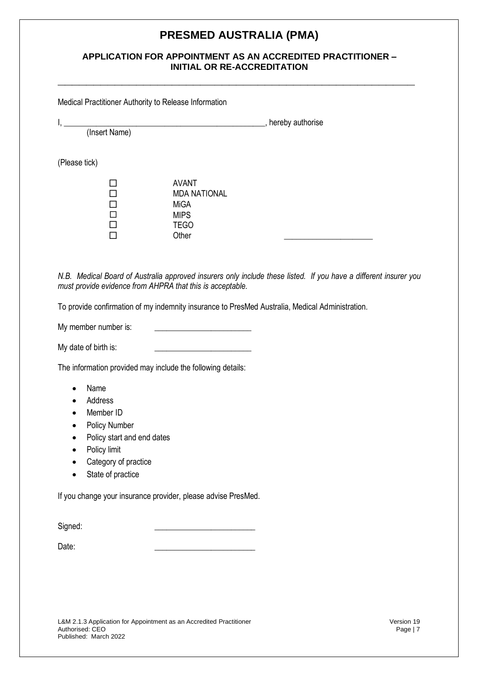#### **APPLICATION FOR APPOINTMENT AS AN ACCREDITED PRACTITIONER – INITIAL OR RE-ACCREDITATION**

**\_\_\_\_\_\_\_\_\_\_\_\_\_\_\_\_\_\_\_\_\_\_\_\_\_\_\_\_\_\_\_\_\_\_\_\_\_\_\_\_\_\_\_\_\_\_\_\_\_\_**

Medical Practitioner Authority to Release Information

| I,            |                     | , hereby authorise |
|---------------|---------------------|--------------------|
| (Insert Name) |                     |                    |
|               |                     |                    |
| (Please tick) |                     |                    |
|               | <b>AVANT</b>        |                    |
|               | <b>MDA NATIONAL</b> |                    |
|               | <b>MiGA</b>         |                    |
|               | <b>MIPS</b>         |                    |
|               | <b>TEGO</b>         |                    |
|               | Other               |                    |

*N.B. Medical Board of Australia approved insurers only include these listed. If you have a different insurer you must provide evidence from AHPRA that this is acceptable.*

To provide confirmation of my indemnity insurance to PresMed Australia, Medical Administration.

My member number is:

My date of birth is:

The information provided may include the following details:

- Name
- Address
- Member ID
- Policy Number
- Policy start and end dates
- Policy limit
- Category of practice
- State of practice

If you change your insurance provider, please advise PresMed.

Signed:

Date: \_\_\_\_\_\_\_\_\_\_\_\_\_\_\_\_\_\_\_\_\_\_\_\_\_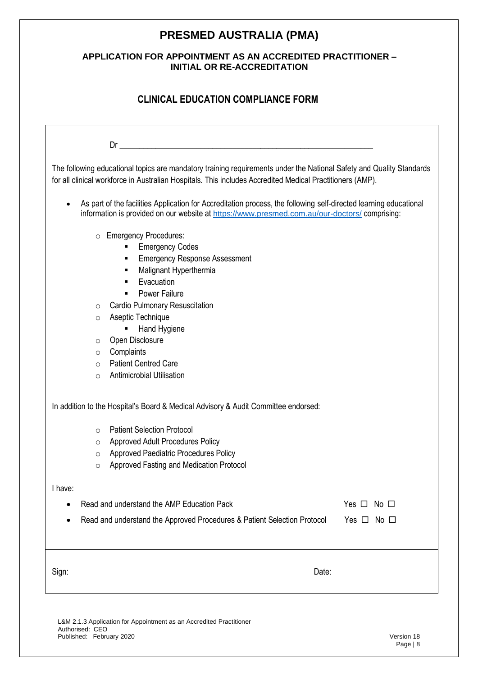### **APPLICATION FOR APPOINTMENT AS AN ACCREDITED PRACTITIONER – INITIAL OR RE-ACCREDITATION**

## **CLINICAL EDUCATION COMPLIANCE FORM**

|                                                                                                                                                                                                                                                                                                                                                                                                                                                                  | Dr                                                                                                                                                                                                                 |       |  |  |  |  |
|------------------------------------------------------------------------------------------------------------------------------------------------------------------------------------------------------------------------------------------------------------------------------------------------------------------------------------------------------------------------------------------------------------------------------------------------------------------|--------------------------------------------------------------------------------------------------------------------------------------------------------------------------------------------------------------------|-------|--|--|--|--|
| The following educational topics are mandatory training requirements under the National Safety and Quality Standards<br>for all clinical workforce in Australian Hospitals. This includes Accredited Medical Practitioners (AMP).                                                                                                                                                                                                                                |                                                                                                                                                                                                                    |       |  |  |  |  |
| $\bullet$                                                                                                                                                                                                                                                                                                                                                                                                                                                        | As part of the facilities Application for Accreditation process, the following self-directed learning educational<br>information is provided on our website at https://www.presmed.com.au/our-doctors/ comprising: |       |  |  |  |  |
| o Emergency Procedures:<br><b>Emergency Codes</b><br>٠<br><b>Emergency Response Assessment</b><br>٠<br>Malignant Hyperthermia<br>٠<br>Evacuation<br>$\blacksquare$<br><b>Power Failure</b><br>$\blacksquare$<br><b>Cardio Pulmonary Resuscitation</b><br>$\circ$<br>Aseptic Technique<br>$\circ$<br>Hand Hygiene<br>Open Disclosure<br>$\circ$<br>Complaints<br>$\circ$<br><b>Patient Centred Care</b><br>$\circ$<br><b>Antimicrobial Utilisation</b><br>$\circ$ |                                                                                                                                                                                                                    |       |  |  |  |  |
|                                                                                                                                                                                                                                                                                                                                                                                                                                                                  | In addition to the Hospital's Board & Medical Advisory & Audit Committee endorsed:                                                                                                                                 |       |  |  |  |  |
| $\circ$<br>$\circ$<br>$\circ$<br>$\circ$                                                                                                                                                                                                                                                                                                                                                                                                                         | <b>Patient Selection Protocol</b><br><b>Approved Adult Procedures Policy</b><br>Approved Paediatric Procedures Policy<br>Approved Fasting and Medication Protocol                                                  |       |  |  |  |  |
| I have:                                                                                                                                                                                                                                                                                                                                                                                                                                                          |                                                                                                                                                                                                                    |       |  |  |  |  |
|                                                                                                                                                                                                                                                                                                                                                                                                                                                                  | Read and understand the AMP Education Pack<br>Yes $\Box$<br>No $\square$                                                                                                                                           |       |  |  |  |  |
| Read and understand the Approved Procedures & Patient Selection Protocol<br>Yes $\Box$<br>No □                                                                                                                                                                                                                                                                                                                                                                   |                                                                                                                                                                                                                    |       |  |  |  |  |
| Sign:                                                                                                                                                                                                                                                                                                                                                                                                                                                            |                                                                                                                                                                                                                    | Date: |  |  |  |  |